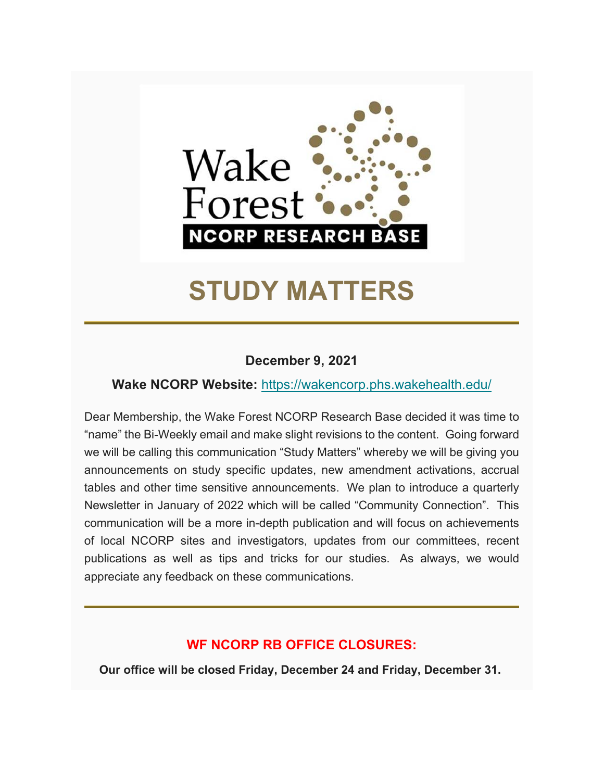

# **STUDY MATTERS**

### **December 9, 2021**

### **Wake NCORP Website:** https://wakencorp.phs.wakehealth.edu/

Dear Membership, the Wake Forest NCORP Research Base decided it was time to "name" the Bi-Weekly email and make slight revisions to the content. Going forward we will be calling this communication "Study Matters" whereby we will be giving you announcements on study specific updates, new amendment activations, accrual tables and other time sensitive announcements. We plan to introduce a quarterly Newsletter in January of 2022 which will be called "Community Connection". This communication will be a more in-depth publication and will focus on achievements of local NCORP sites and investigators, updates from our committees, recent publications as well as tips and tricks for our studies. As always, we would appreciate any feedback on these communications.

### **WF NCORP RB OFFICE CLOSURES:**

**Our office will be closed Friday, December 24 and Friday, December 31.**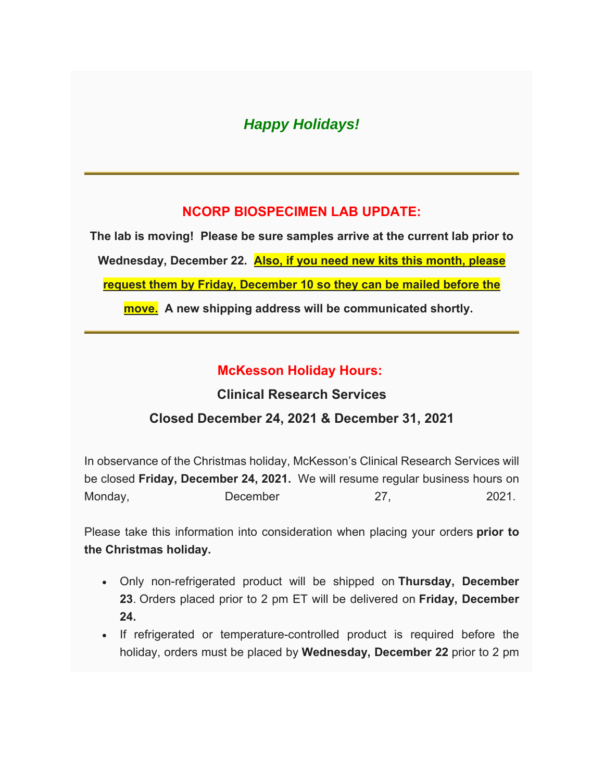### *Happy Holidays!*

### **NCORP BIOSPECIMEN LAB UPDATE:**

**The lab is moving! Please be sure samples arrive at the current lab prior to Wednesday, December 22. Also, if you need new kits this month, please request them by Friday, December 10 so they can be mailed before the move. A new shipping address will be communicated shortly.** 

### **McKesson Holiday Hours:**

## **Clinical Research Services Closed December 24, 2021 & December 31, 2021**

In observance of the Christmas holiday, McKesson's Clinical Research Services will be closed **Friday, December 24, 2021.** We will resume regular business hours on Monday, December 27, 2021.

Please take this information into consideration when placing your orders **prior to the Christmas holiday.**

- Only non-refrigerated product will be shipped on **Thursday, December 23**. Orders placed prior to 2 pm ET will be delivered on **Friday, December 24.**
- If refrigerated or temperature-controlled product is required before the holiday, orders must be placed by **Wednesday, December 22** prior to 2 pm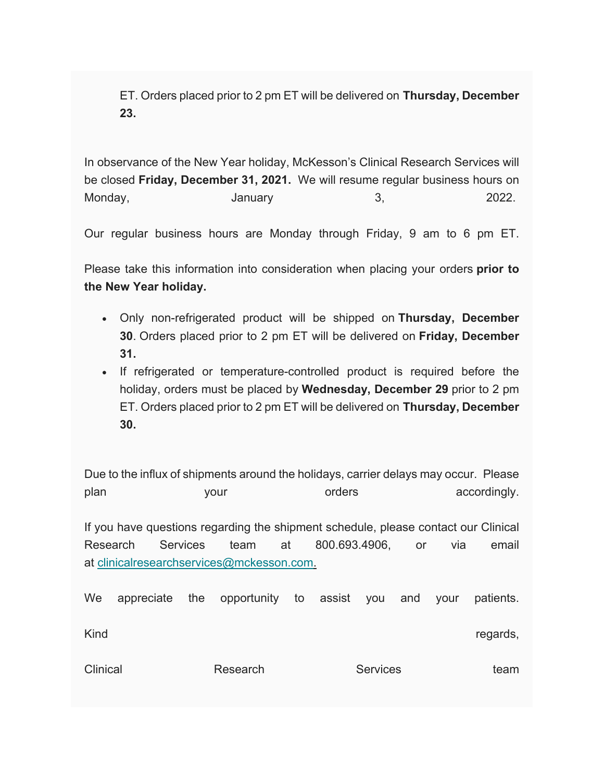ET. Orders placed prior to 2 pm ET will be delivered on **Thursday, December 23.**

In observance of the New Year holiday, McKesson's Clinical Research Services will be closed **Friday, December 31, 2021.** We will resume regular business hours on Monday, and the Manuary 1-1 of the Monday, the Manuary 1-1 of the Second Manual St. 2022.

Our regular business hours are Monday through Friday, 9 am to 6 pm ET.

Please take this information into consideration when placing your orders **prior to the New Year holiday.**

- Only non-refrigerated product will be shipped on **Thursday, December 30**. Orders placed prior to 2 pm ET will be delivered on **Friday, December 31.**
- If refrigerated or temperature-controlled product is required before the holiday, orders must be placed by **Wednesday, December 29** prior to 2 pm ET. Orders placed prior to 2 pm ET will be delivered on **Thursday, December 30.**

Due to the influx of shipments around the holidays, carrier delays may occur. Please plan your your orders accordingly. If you have questions regarding the shipment schedule, please contact our Clinical Research Services team at 800.693.4906, or via email at clinicalresearchservices@mckesson.com. We appreciate the opportunity to assist you and your patients.

Kind **Example 2018 Kind Regards**,

| Clinical | Research | <b>Services</b> | team |
|----------|----------|-----------------|------|
|----------|----------|-----------------|------|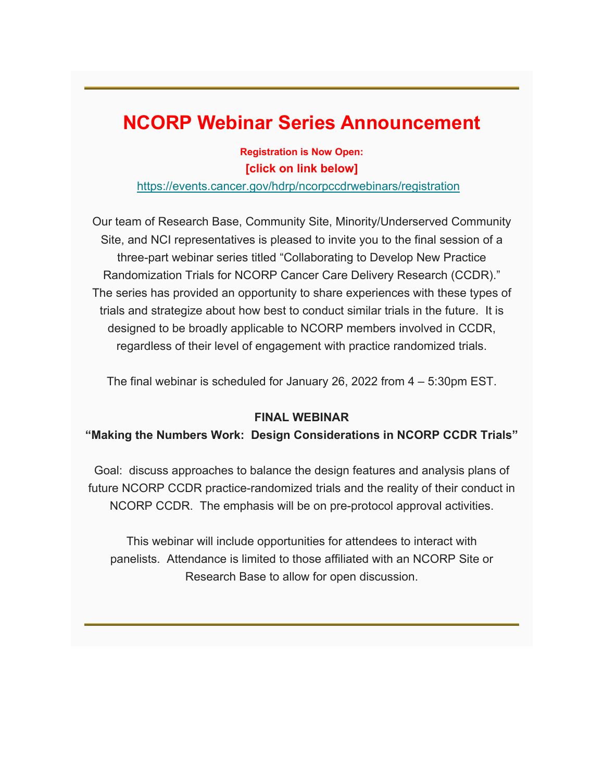## **NCORP Webinar Series Announcement**

**Registration is Now Open: [click on link below]**

https://events.cancer.gov/hdrp/ncorpccdrwebinars/registration

Our team of Research Base, Community Site, Minority/Underserved Community Site, and NCI representatives is pleased to invite you to the final session of a three-part webinar series titled "Collaborating to Develop New Practice Randomization Trials for NCORP Cancer Care Delivery Research (CCDR)." The series has provided an opportunity to share experiences with these types of trials and strategize about how best to conduct similar trials in the future. It is designed to be broadly applicable to NCORP members involved in CCDR, regardless of their level of engagement with practice randomized trials.

The final webinar is scheduled for January 26, 2022 from 4 – 5:30pm EST.

#### **FINAL WEBINAR**

#### **"Making the Numbers Work: Design Considerations in NCORP CCDR Trials"**

Goal: discuss approaches to balance the design features and analysis plans of future NCORP CCDR practice-randomized trials and the reality of their conduct in NCORP CCDR. The emphasis will be on pre-protocol approval activities.

This webinar will include opportunities for attendees to interact with panelists. Attendance is limited to those affiliated with an NCORP Site or Research Base to allow for open discussion.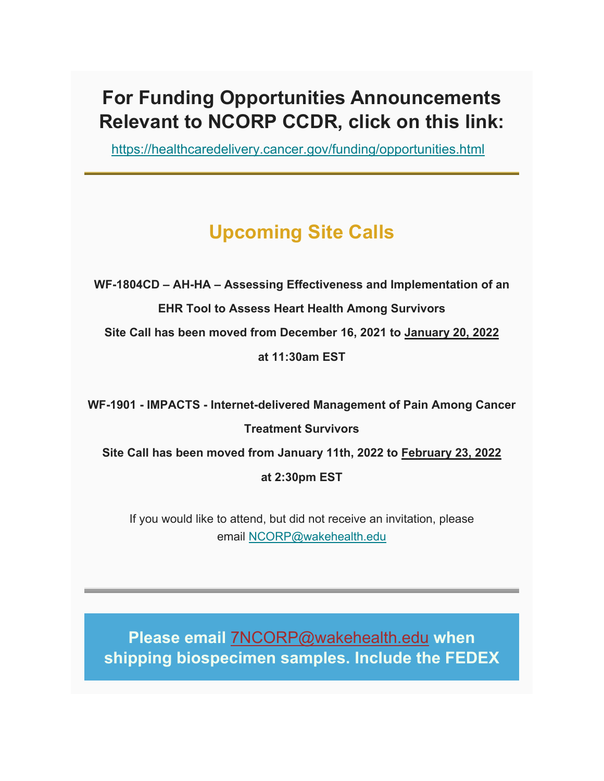## **For Funding Opportunities Announcements Relevant to NCORP CCDR, click on this link:**

https://healthcaredelivery.cancer.gov/funding/opportunities.html

## **Upcoming Site Calls**

**WF-1804CD – AH-HA – Assessing Effectiveness and Implementation of an EHR Tool to Assess Heart Health Among Survivors** 

**Site Call has been moved from December 16, 2021 to January 20, 2022** 

**at 11:30am EST** 

**WF-1901 - IMPACTS - Internet-delivered Management of Pain Among Cancer Treatment Survivors** 

**Site Call has been moved from January 11th, 2022 to February 23, 2022** 

**at 2:30pm EST**

If you would like to attend, but did not receive an invitation, please email NCORP@wakehealth.edu

**Please email** 7NCORP@wakehealth.edu **when shipping biospecimen samples. Include the FEDEX**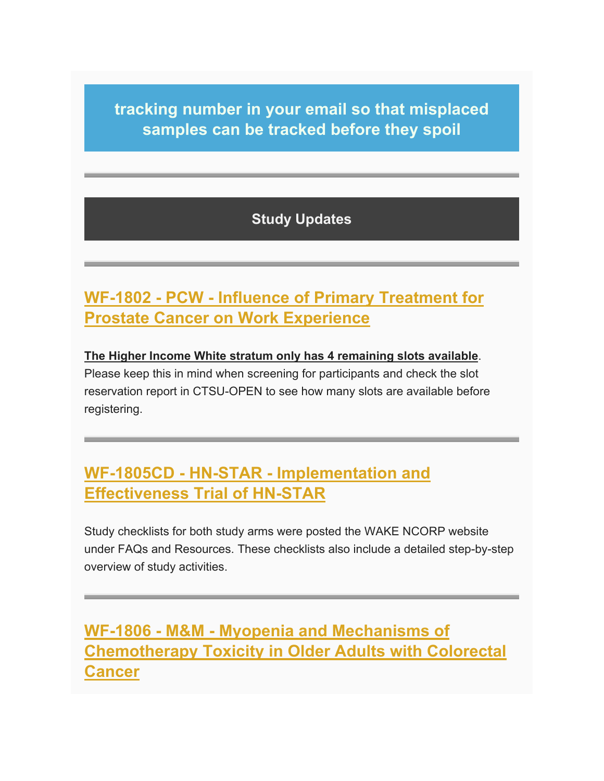**tracking number in your email so that misplaced samples can be tracked before they spoil**

### **Study Updates**

## **WF-1802 - PCW - Influence of Primary Treatment for Prostate Cancer on Work Experience**

### **The Higher Income White stratum only has 4 remaining slots available**. Please keep this in mind when screening for participants and check the slot reservation report in CTSU-OPEN to see how many slots are available before registering.

## **WF-1805CD - HN-STAR - Implementation and Effectiveness Trial of HN-STAR**

Study checklists for both study arms were posted the WAKE NCORP website under FAQs and Resources. These checklists also include a detailed step-by-step overview of study activities.

## **WF-1806 - M&M - Myopenia and Mechanisms of Chemotherapy Toxicity in Older Adults with Colorectal Cancer**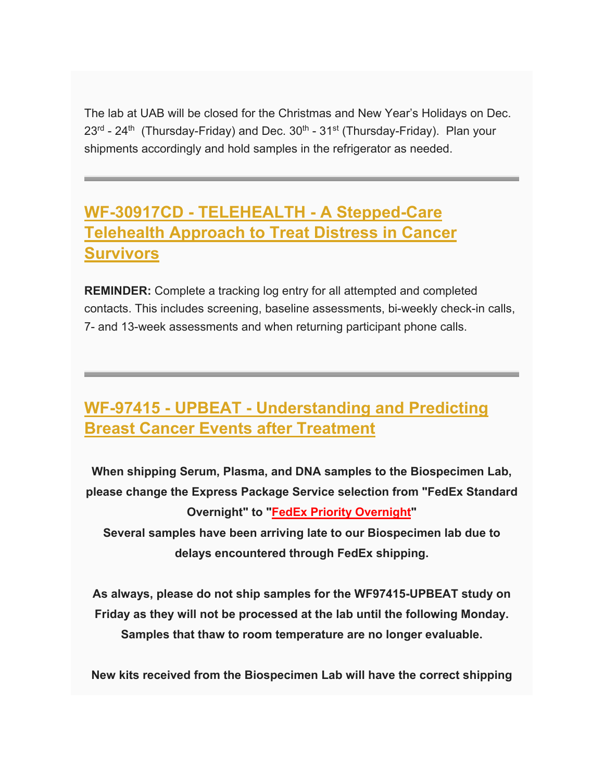The lab at UAB will be closed for the Christmas and New Year's Holidays on Dec.  $23<sup>rd</sup>$  - 24<sup>th</sup> (Thursday-Friday) and Dec.  $30<sup>th</sup>$  - 31<sup>st</sup> (Thursday-Friday). Plan your shipments accordingly and hold samples in the refrigerator as needed.

## **WF-30917CD - TELEHEALTH - A Stepped-Care Telehealth Approach to Treat Distress in Cancer Survivors**

**REMINDER:** Complete a tracking log entry for all attempted and completed contacts. This includes screening, baseline assessments, bi-weekly check-in calls, 7- and 13-week assessments and when returning participant phone calls.

## **WF-97415 - UPBEAT - Understanding and Predicting Breast Cancer Events after Treatment**

**When shipping Serum, Plasma, and DNA samples to the Biospecimen Lab, please change the Express Package Service selection from "FedEx Standard Overnight" to "FedEx Priority Overnight" Several samples have been arriving late to our Biospecimen lab due to delays encountered through FedEx shipping.** 

**As always, please do not ship samples for the WF97415-UPBEAT study on Friday as they will not be processed at the lab until the following Monday. Samples that thaw to room temperature are no longer evaluable.** 

**New kits received from the Biospecimen Lab will have the correct shipping**